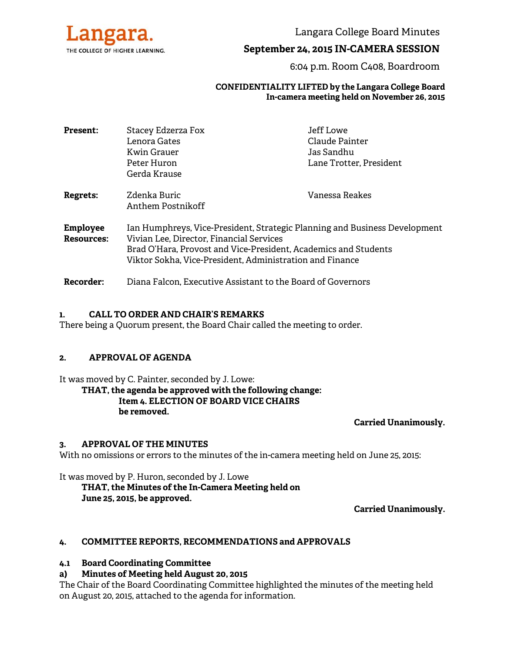

Langara College Board Minutes

# **September 24, 2015 IN-CAMERA SESSION**

6:04 p.m. Room C408, Boardroom

## **CONFIDENTIALITY LIFTED by the Langara College Board In-camera meeting held on November 26, 2015**

| <b>Present:</b>   | Stacey Edzerza Fox                                                         | Jeff Lowe               |
|-------------------|----------------------------------------------------------------------------|-------------------------|
|                   | Lenora Gates                                                               | Claude Painter          |
|                   | Kwin Grauer                                                                | Jas Sandhu              |
|                   | Peter Huron                                                                | Lane Trotter, President |
|                   | Gerda Krause                                                               |                         |
| <b>Regrets:</b>   | Zdenka Buric                                                               | Vanessa Reakes          |
|                   | Anthem Postnikoff                                                          |                         |
| <b>Employee</b>   | Ian Humphreys, Vice-President, Strategic Planning and Business Development |                         |
| <b>Resources:</b> | Vivian Lee, Director, Financial Services                                   |                         |
|                   | Brad O'Hara, Provost and Vice-President, Academics and Students            |                         |
|                   | Viktor Sokha, Vice-President, Administration and Finance                   |                         |
| Recorder:         | Diana Falcon, Executive Assistant to the Board of Governors                |                         |

### **1. CALL TO ORDER AND CHAIR'S REMARKS**

There being a Quorum present, the Board Chair called the meeting to order.

### **2. APPROVAL OF AGENDA**

It was moved by C. Painter, seconded by J. Lowe:

**THAT, the agenda be approved with the following change: Item 4. ELECTION OF BOARD VICE CHAIRS be removed.** 

**Carried Unanimously.**

### **3. APPROVAL OF THE MINUTES**

With no omissions or errors to the minutes of the in-camera meeting held on June 25, 2015:

It was moved by P. Huron, seconded by J. Lowe

 **THAT, the Minutes of the In-Camera Meeting held on June 25, 2015, be approved.** 

**Carried Unanimously.** 

# **4. COMMITTEE REPORTS, RECOMMENDATIONS and APPROVALS**

## **4.1 Board Coordinating Committee**

# **a) Minutes of Meeting held August 20, 2015**

The Chair of the Board Coordinating Committee highlighted the minutes of the meeting held on August 20, 2015, attached to the agenda for information.